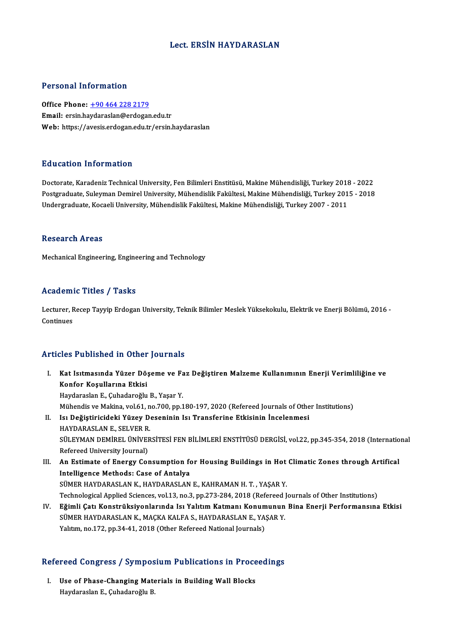### Lect. ERSİN HAYDARASLAN

### Personal Information

Office Phone: +90 464 228 2179 Email: ersin.ha[ydaraslan@erdogan](tel:+90 464 228 2179).edu.tr Web: https://avesis.erdogan.edu.tr/ersin.haydaraslan

### Education Information

Doctorate, Karadeniz Technical University, Fen Bilimleri Enstitüsü, Makine Mühendisliği, Turkey 2018 - 2022 Pu u sutrom minominution<br>Doctorate, Karadeniz Technical University, Fen Bilimleri Enstitüsü, Makine Mühendisliği, Turkey 2018 - 2022<br>Postgraduate, Suleyman Demirel University, Mühendislik Fakültesi, Makine Mühendisliği, Tu Doctorate, Karadeniz Technical University, Fen Bilimleri Enstitüsü, Makine Mühendisliği, Turkey 201<br>Postgraduate, Suleyman Demirel University, Mühendislik Fakültesi, Makine Mühendisliği, Turkey 201<br>Undergraduate, Kocaeli U Undergraduate, Kocaeli University, Mühendislik Fakültesi, Makine Mühendisliği, Turkey 2007 - 2011<br>Research Areas

Mechanical Engineering, Engineering and Technology

### Academic Titles / Tasks

**Academic Titles / Tasks**<br>Lecturer, Recep Tayyip Erdogan University, Teknik Bilimler Meslek Yüksekokulu, Elektrik ve Enerji Bölümü, 2016 -<br>Continues Lecturer, F<br>Lecturer, F<br>Continues

## Articles Published in Other Journals

- rticles Published in Other Journals<br>I. Kat Isıtmasında Yüzer Döşeme ve Faz Değiştiren Malzeme Kullanımının Enerji Verimliliğine ve<br>Konfor Kesullanına Etkisi xco 1 abnonca in other<br>Kat Isitmasında Yüzer Dö;<br>Konfor Koşullarına Etkisi Kat Isıtmasında Yüzer Döşeme ve Fa<br>Konfor Koşullarına Etkisi<br>Haydaraslan E., Çuhadaroğlu B., Yaşar Y.<br>Mühandis*ya* Makina val 61, na 700, nn 1 Konfor Koşullarına Etkisi<br>Haydaraslan E., Çuhadaroğlu B., Yaşar Y.<br>Mühendis ve Makina, vol.61, no.700, pp.180-197, 2020 (Refereed Journals of Other Institutions)<br>Isı Değistinisideki Yüzev Deseninin Isı Transferine Etkisini Haydaraslan E., Çuhadaroğlu B., Yaşar Y.<br>Mühendis ve Makina, vol.61, no.700, pp.180-197, 2020 (Refereed Journals of Othe<br>II. Isı Değiştiricideki Yüzey Deseninin Isı Transferine Etkisinin İncelenmesi<br>HAYDARASLAN E., SELVER Mühendis ve Makina, vol.61, n<br>Isı De<mark>ğiştiricideki Yüzey D</mark><br>HAYDARASLAN E., SELVER R.<br>SÜLEVMAN DEMİREL ÜNİVER SÜLEYMAN DEMİREL ÜNİVERSİTESİ FEN BİLİMLERİ ENSTİTÜSÜ DERGİSİ, vol.22, pp.345-354, 2018 (International Refereed University Journal) SÜLEYMAN DEMİREL ÜNİVERSİTESİ FEN BİLİMLERİ ENSTİTÜSÜ DERGİSİ, vol.22, pp.345-354, 2018 (Internatio Refereed University Journal)<br>III. An Estimate of Energy Consumption for Housing Buildings in Hot Climatic Zones through Ar Refereed University Journal)<br>An Estimate of Energy Consumption fo<br>Intelligence Methods: Case of Antalya<br>SÜMER HAYDARASI AN K. HAYDARASI AN
- Intelligence Methods: Case of Antalya<br>SÜMER HAYDARASLAN K., HAYDARASLAN E., KAHRAMAN H. T. , YAŞAR Y. Technological Applied Sciences, vol.13, no.3, pp.273-284, 2018 (Refereed Journals of Other Institutions)
- IV. Eğimli Çatı Konstrüksiyonlarında Isı Yalıtım Katmanı Konumunun Bina Enerji Performansına Etkisi Technological Applied Sciences, vol.13, no.3, pp.273-284, 2018 (Refereed ]<br>Eğimli Çatı Konstrüksiyonlarında Isı Yalıtım Katmanı Konumunun<br>SÜMER HAYDARASLAN K., MAÇKA KALFA S., HAYDARASLAN E., YAŞAR Y.<br>Yalıtım no.172, np.24 Eğimli Çatı Konstrüksiyonlarında Isı Yalıtım Katmanı Konum<br>SÜMER HAYDARASLAN K., MAÇKA KALFA S., HAYDARASLAN E., YA:<br>Yalıtım, no.172, pp.34-41, 2018 (Other Refereed National Journals)

# ranum, no.172, pp.34-41, 2018 (other kelereed National Journals)<br>Refereed Congress / Symposium Publications in Proceedings

efereed Congress / Symposium Publications in Proce<br>I. Use of Phase-Changing Materials in Building Wall Blocks<br>Haydanaslan E. Cubedanašlu B. I. Use of Phase-Changing Materials in Building Wall Blocks<br>Haydaraslan E., Çuhadaroğlu B.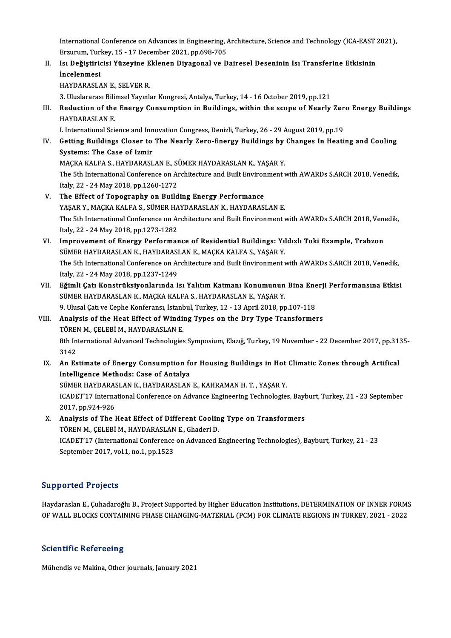International Conference on Advances in Engineering, Architecture, Science and Technology (ICA-EAST 2021),<br>Ergywwm Tyrksy, 15,, 17 Desember 2021, np.608,705 International Conference on Advances in Engineering, *l*<br>Erzurum, Turkey, 15 - 17 December 2021, pp.698-705<br>Is: Dežistinisisi Vürevine Eklenen Divesenel vs D International Conference on Advances in Engineering, Architecture, Science and Technology (ICA-EAST :<br>Erzurum, Turkey, 15 - 17 December 2021, pp.698-705<br>II. Isı Değiştiricisi Yüzeyine Eklenen Diyagonal ve Dairesel Desenini

Erzurum, Turkey, 15 - 17 December 2021, pp.698-705<br>II. Isı Değiştiricisi Yüzeyine Eklenen Diyagonal ve Dairesel Deseninin Isı Transferine Etkisinin<br>İncelenmesi

HAYDARASLAN E., SELVER R.

3. Uluslararası Bilimsel Yayınlar Kongresi, Antalya, Turkey, 14 - 16 October 2019, pp.121

HAYDARASLAN E., SELVER R.<br>3. Uluslararası Bilimsel Yayınlar Kongresi, Antalya, Turkey, 14 - 16 October 2019, pp.121<br>III. Reduction of the Energy Consumption in Buildings, within the scope of Nearly Zero Energy Building 3. Uluslararası Bili<br>Reduction of the<br>HAYDARASLAN E.<br>Liternational Sci Reduction of the Energy Consumption in Buildings, within the scope of Nearly Zer<br>HAYDARASLAN E.<br>I. International Science and Innovation Congress, Denizli, Turkey, 26 - 29 August 2019, pp.19<br>Cetting Buildings Closer to The

HAYDARASLAN E.<br>I. International Science and Innovation Congress, Denizli, Turkey, 26 - 29 August 2019, pp.19<br>IV. Getting Buildings Closer to The Nearly Zero-Energy Buildings by Changes In Heating and Cooling<br>Systems: Th **I. International Science and Inn<br>Getting Buildings Closer to<br>Systems: The Case of Izmir<br>MACKA KALEA S. HAVDARASI** Getting Buildings Closer to The Nearly Zero-Energy Buildings by<br>Systems: The Case of Izmir<br>MAÇKA KALFA S., HAYDARASLAN E., SÜMER HAYDARASLAN K., YAŞAR Y.<br>The 5th International Conference on Architecture and Built Environme Systems: The Case of Izmir<br>MAÇKA KALFA S., HAYDARASLAN E., SÜMER HAYDARASLAN K., YAŞAR Y.<br>The 5th International Conference on Architecture and Built Environment with AWARDs S.ARCH 2018, Venedik,

Italy,22 -24May2018,pp.1260-1272

- V. The Effect of Topography on Building Energy Performance Italy, 22 - 24 May 2018, pp.1260-1272<br>The Effect of Topography on Building Energy Performance<br>YAŞAR Y., MAÇKA KALFA S., SÜMER HAYDARASLAN K., HAYDARASLAN E.<br>The 5th International Conference on Architecture and Built Enviro The 5th International Conference on Architecture and Built Environment with AWARDs S.ARCH 2018, Venedik, Italy, 22 - 24 May 2018, pp.1273-1282 YAŞAR Y., MAÇKA KALFA S., SÜMER HA<br>The 5th International Conference on Ar<br>Italy, 22 - 24 May 2018, pp.1273-1282<br>Improvement of Energy Performer The 5th International Conference on Architecture and Built Environment with AWARDs S.ARCH 2018, Ven<br>Italy, 22 - 24 May 2018, pp.1273-1282<br>VI. Improvement of Energy Performance of Residential Buildings: Yıldızlı Toki Exampl
- Italy, 22 24 May 2018, pp.1273-1282<br>Improvement of Energy Performance of Residential Buildings: Yıl<br>SÜMER HAYDARASLAN K., HAYDARASLAN E., MAÇKA KALFA S., YAŞAR Y.<br>The 5th International Conference on Architecture and Buil Improvement of Energy Performance of Residential Buildings: Yıldızlı Toki Example, Trabzon<br>SÜMER HAYDARASLAN K., HAYDARASLAN E., MAÇKA KALFA S., YAŞAR Y.<br>The 5th International Conference on Architecture and Built Environme SÜMER HAYDARASLAN K., HAYDARASLAN E., MAÇKA KALFA S., YAŞAR Y.<br>The 5th International Conference on Architecture and Built Environment with AWARDs S.ARCH 2018, Venedik,<br>Italy, 22 - 24 May 2018, pp.1237-1249 The 5th International Conference on Architecture and Built Environment with AWARDs S.ARCH 2018, Venedik,<br>Italy, 22 - 24 May 2018, pp.1237-1249<br>VII. Eğimli Çatı Konstrüksiyonlarında Isı Yalıtım Katmanı Konumunun Bina Enerji
- Italy, 22 24 May 2018, pp.1237-1249<br><mark>Eğimli Çatı Konstrüksiyonlarında Isı Yalıtım Katmanı Konumunun</mark><br>SÜMER HAYDARASLAN K., MAÇKA KALFA S., HAYDARASLAN E., YAŞAR Y.<br>9. Ulusal Çatı ve Çepbe Konferensı İstanbul Turkey 12, 1 Eğimli Çatı Konstrüksiyonlarında Isı Yalıtım Katmanı Konumunun Bina Ene<br>SÜMER HAYDARASLAN K., MAÇKA KALFA S., HAYDARASLAN E., YAŞAR Y.<br>9. Ulusal Çatı ve Cephe Konferansı, İstanbul, Turkey, 12 - 13 April 2018, pp.107-118<br>An SÜMER HAYDARASLAN K., MAÇKA KALFA S., HAYDARASLAN E., YAŞAR Y.<br>9. Ulusal Çatı ve Cephe Konferansı, İstanbul, Turkey, 12 - 13 April 2018, pp.107-118<br>VIII. Analysis of the Heat Effect of Winding Types on the Dry Type Transfo

## 9. Ulusal Çatı ve Cephe Konferansı, İstand<br>Analysis of the Heat Effect of Windi<br>TÖREN M., ÇELEBİ M., HAYDARASLAN E.<br><sup>9th International Advanced Technologies</sup> Analysis of the Heat Effect of Winding Types on the Dry Type Transformers<br>TÖREN M., ÇELEBİ M., HAYDARASLAN E.<br>8th International Advanced Technologies Symposium, Elazığ, Turkey, 19 November - 22 December 2017, pp.3135-<br>2142 TÖREI<br>8th In<br>3142<br>An Es

- 8th International Advanced Technologies Symposium, Elazig, Turkey, 19 November 22 December 2017, pp.31.<br>3142<br>IX. An Estimate of Energy Consumption for Housing Buildings in Hot Climatic Zones through Artifical<br>Intelligenc 3142<br>IX. An Estimate of Energy Consumption for Housing Buildings in Hot Climatic Zones through Artifical<br>Intelligence Methods: Case of Antalya An Estimate of Energy Consumption for Housing Buildings in Hot<br>Intelligence Methods: Case of Antalya<br>SÜMER HAYDARASLAN K., HAYDARASLAN E., KAHRAMAN H. T. , YAŞAR Y.<br>ICADET'17 International Conference on Advance Engineering ICADET'17 International Conference on Advance Engineering Technologies, Bayburt, Turkey, 21 - 23 September 2017, pp.924-926 SÜMER HAYDARAS<br>ICADET'17 Interna<br>2017, pp.924-926<br>Analysis of The L ICADET'17 International Conference on Advance Engineering Technologies, Bayl<br>2017, pp.924-926<br>X. Analysis of The Heat Effect of Different Cooling Type on Transformers<br>TÖREN M. CELERLM, HANDARASLAN E. Chaderi D.
- 2017, pp.924-926<br>Analysis of The Heat Effect of Different Coolin<br>TÖREN M., ÇELEBİ M., HAYDARASLAN E., Ghaderi D.<br>ICADET'17 (International Conference on Advanced I TÖREN M., ÇELEBİ M., HAYDARASLAN E., Ghaderi D.<br>ICADET'17 (International Conference on Advanced Engineering Technologies), Bayburt, Turkey, 21 - 23 September 2017, vol.1, no.1, pp.1523

## Supported Projects

Supported Projects<br>Haydaraslan E., Çuhadaroğlu B., Project Supported by Higher Education Institutions, DETERMINATION OF INNER FORMS<br>OF WALL BLOCKS CONTAINING PHASE CHANGING MATERIAL (PCM) FOR GLIMATE RECIONS IN TURKEY 2021 Dupporteur i rojecte<br>Haydaraslan E., Çuhadaroğlu B., Project Supported by Higher Education Institutions, DETERMINATION OF INNER FORM<br>OF WALL BLOCKS CONTAINING PHASE CHANGING-MATERIAL (PCM) FOR CLIMATE REGIONS IN TURKEY, 20 OF WALL BLOCKS CONTAINING PHASE CHANGING-MATERIAL (PCM) FOR CLIMATE REGIONS IN TURKEY, 2021 - 2022<br>Scientific Refereeing

Mühendis ve Makina, Other journals, January 2021